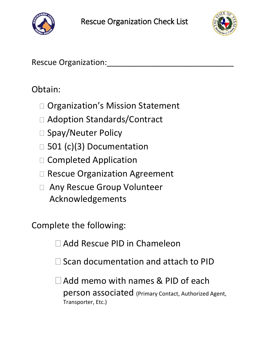



Rescue Organization:

### Obtain:

- □ Organization's Mission Statement
- □ Adoption Standards/Contract
- □ Spay/Neuter Policy
- $\Box$  501 (c)(3) Documentation
- □ Completed Application
- □ Rescue Organization Agreement
- Any Rescue Group Volunteer Acknowledgements

Complete the following:

Add Rescue PID in Chameleon

 $\Box$  Scan documentation and attach to PID

Add memo with names & PID of each person associated (Primary Contact, Authorized Agent, Transporter, Etc.)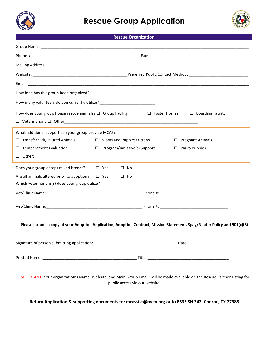

### **Rescue Group Application**



#### **Rescue Organization**

| How many volunteers do you currently utilize? __________________________________ |                                                                                                                                                                |
|----------------------------------------------------------------------------------|----------------------------------------------------------------------------------------------------------------------------------------------------------------|
| How does your group house rescue animals? $\Box$ Group Facility                  | $\Box$ Foster Homes $\Box$ Boarding Facility                                                                                                                   |
| What additional support can your group provide MCAS?                             |                                                                                                                                                                |
| $\Box$ Transfer Sick, Injured Animals $\Box$ Moms and Puppies/Kittens            | $\Box$ Pregnant Animals                                                                                                                                        |
| $\Box$ Temperament Evaluation                                                    | $\Box$ Program/Initiative(s) Support<br>$\Box$ Parvo Puppies                                                                                                   |
|                                                                                  |                                                                                                                                                                |
| Does your group accept mixed breeds? $\Box$ Yes                                  | $\square$ No                                                                                                                                                   |
| Are all animals altered prior to adoption? $\square$ Yes                         | $\Box$ No                                                                                                                                                      |
| Which veterinarians(s) does your group utilize?                                  |                                                                                                                                                                |
|                                                                                  |                                                                                                                                                                |
|                                                                                  |                                                                                                                                                                |
|                                                                                  | Please include a copy of your Adoption Application, Adoption Contract, Mission Statement, Spay/Neuter Policy and 501(c)(3)                                     |
|                                                                                  |                                                                                                                                                                |
|                                                                                  |                                                                                                                                                                |
|                                                                                  | IMPORTANT: Your organization's Name, Website, and Main Group Email, will be made available on the Rescue Partner Listing for<br>public access via our website. |

**Return Application & supporting documents to: [mcassist@mctx.org](mailto:mcassist@mctx.org) or to 8535 SH 242, Conroe, TX 77385**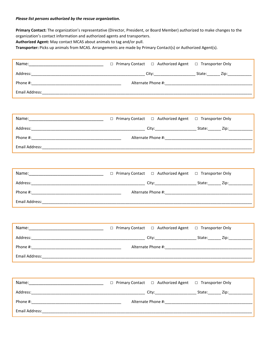#### *Please list persons authorized by the rescue organization.*

**Primary Contact:** The organization's representative (Director, President, or Board Member) authorized to make changes to the organization's contact information and authorized agents and transporters.

**Authorized Agent:** May contact MCAS about animals to tag and/or pull.

**Transporter:** Picks up animals from MCAS. Arrangements are made by Primary Contact(s) or Authorized Agent(s).

| Email Address: 1988 and 2008 and 2008 and 2008 and 2008 and 2008 and 2008 and 2008 and 2008 and 2008 and 2008 and 2008 and 2008 and 2008 and 2008 and 2008 and 2008 and 2008 and 2008 and 2008 and 2008 and 2008 and 2008 and |                                         |                    |
|-------------------------------------------------------------------------------------------------------------------------------------------------------------------------------------------------------------------------------|-----------------------------------------|--------------------|
|                                                                                                                                                                                                                               |                                         |                    |
|                                                                                                                                                                                                                               |                                         |                    |
|                                                                                                                                                                                                                               |                                         |                    |
|                                                                                                                                                                                                                               |                                         |                    |
|                                                                                                                                                                                                                               |                                         |                    |
| Email Address:                                                                                                                                                                                                                |                                         |                    |
|                                                                                                                                                                                                                               |                                         |                    |
| Name: 2008 2010 2021 2022 2023 2024 2022 2022 2023 2024 2022 2023 2024 2022 2023 2024 2022 2023 2024 2025 2026                                                                                                                | □ Authorized Agent<br>□ Primary Contact | □ Transporter Only |
|                                                                                                                                                                                                                               |                                         |                    |
|                                                                                                                                                                                                                               |                                         |                    |
|                                                                                                                                                                                                                               |                                         |                    |
|                                                                                                                                                                                                                               |                                         |                    |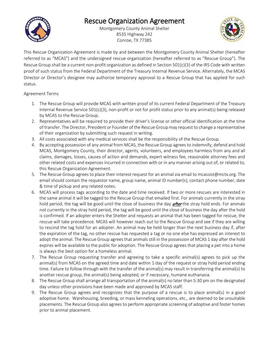# Rescue Organization Agreement<br>Montgomery County Animal Shelter



8535 Highway 242 Conroe, TX 77385



This Rescue Organization Agreement is made by and between the Montgomery County Animal Shelter (hereafter referred to as "MCAS") and the undersigned rescue organization (hereafter referred to as "Rescue Group"). The Rescue Group shall be a current non-profit organization as defined in Section 501(c)(3) of the IRS Code with written proof of such status from the Federal Department of the Treasury Internal Revenue Service. Alternately, the MCAS Director or Director's designee may authorize temporary approval to a Rescue Group that has applied for such status.

#### Agreement Terms

- 1. The Rescue Group will provide MCAS with written proof of its current Federal Department of the Treasury Internal Revenue Service 501(c)(3), non-profit or not for profit status prior to any animal(s) being released by MCAS to the Rescue Group.
- 2. Representatives will be required to provide their driver's license or other official identification at the time of transfer. The Director, President or Founder of the Rescue Group may request to change a representative of their organization by submitting such request in writing.
- 3. All costs associated with any medical services shall be the responsibility of the Rescue Group.
- 4. By accepting possession of any animal from MCAS, the Rescue Group agrees to indemnify, defend and hold MCAS, Montgomery County, their director, agents, volunteers, and employees harmless from any and all claims, damages, losses, causes of action and demands, expert witness fee, reasonable attorney fees and other related costs and expenses incurred in connection with or in any manner arising out of, or related to, this Rescue Organization Agreement.
- 5. The Rescue Group agrees to place their interest request for an animal via email to mcassist@mctx.org. The email should contain the requestor name, group name, animal ID number(s), contact phone number, date & time of pickup and any related notes.
- 6. MCAS will process tags according to the date and time received. If two or more rescues are interested in the same animal it will be tagged to the Rescue Group that emailed first. For animals currently in the stray hold period, the tag will be good until the close of business the day *after* the stray hold ends. For animals not currently in the stray hold period, the tag will be good until the close of business the day after the hold is confirmed. If an adopter enters the Shelter and requests an animal that has been tagged for rescue, the rescue will take precedence. MCAS will however reach out to the Rescue Group and see if they are willing to rescind the tag hold for an adopter. An animal may be held longer than the next business day if, after the expiration of the tag, no other rescue has requested a tag or no one else has expressed an interest to adopt the animal. The Rescue Group agrees that animals still in the possession of MCAS 1 day after the hold expires will be available to the public for adoption. The Rescue Group agrees that placing a pet into a home is always the best option for a homeless animal.
- 7. The Rescue Group requesting transfer and agreeing to take a specific animal(s) agrees to pick up the animal(s) from MCAS on the agreed time and date within 1 day of the request or stray hold period ending time. Failure to follow through with the transfer of the animal(s) may result in transferring the animal(s) to another rescue group, the animal(s) being adopted, or if necessary, humane euthanasia.
- 8. The Rescue Group shall arrange all transportation of the animal(s) no later than 5:30 pm on the designated day unless other provisions have been made and approved by MCAS staff.
- 9. The Rescue Group agrees and recognizes that the purpose of a rescue is to place animal(s) in a good adoptive home. Warehousing, breeding, or mass kenneling operations, etc., are deemed to be unsuitable placements. The Rescue Group also agrees to perform appropriate screening of adoptive and foster homes prior to animal placement.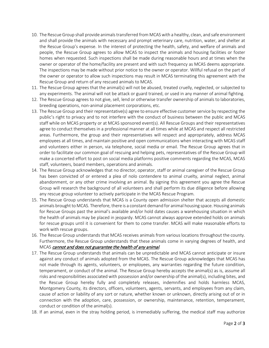- 10. The Rescue Group shall provide animals transferred from MCAS with a healthy, clean, and safe environment and shall provide the animals with necessary and prompt veterinary care, nutrition, water, and shelter at the Rescue Group's expense. In the interest of protecting the health, safety, and welfare of animals and people, the Rescue Group agrees to allow MCAS to inspect the animals and housing facilities or foster homes when requested. Such inspections shall be made during reasonable hours and at times when the owner or operator of the home/facility are present and with such frequency as MCAS deems appropriate. The inspections may be made without prior notice to the owner or operator. Willful refusal on the part of the owner or operator to allow such inspections may result in MCAS terminating this agreement with the Rescue Group and return of any rescued animals to MCAS.
- 11. The Rescue Group agrees that the animal(s) will not be abused, treated cruelly, neglected, or subjected to any experiments. The animal will not be attack or guard trained, or used in any manner of animal fighting.
- 12. The Rescue Group agrees to not give, sell, lend or otherwise transfer ownership of animals to laboratories, breeding operations, non-animal placement corporations, etc.
- 13. The Rescue Group and their representative(s) agree to ensure effective customer service by respecting the public's right to privacy and to not interfere with the conduct of business between the public and MCAS staff while on MCAS property or at MCAS sponsored event(s). All Rescue Groups and their representatives agree to conduct themselves in a professional manner at all times while at MCAS and respect all restricted areas. Furthermore, the group and their representatives will respect and appropriately, address MCAS employees at all times, and maintain positive and open communications when interacting with MCAS staff and volunteers either in person, via telephone, social media or email. The Rescue Group agrees that in order to facilitate our common goal of rescuing and helping pets, representatives of the Rescue Group will make a concerted effort to post on social media platforms positive comments regarding the MCAS, MCAS staff, volunteers, board members, operations and animals.
- 14. The Rescue Group acknowledges that no director, operator, staff or animal caregiver of the Rescue Group has been convicted of or entered a plea of nolo contendere to animal cruelty, animal neglect, animal abandonment, or any other crime involving an animal. By signing this agreement you agree the Rescue Group will research the background of all volunteers and shall perform its due diligence before allowing any rescue group volunteer to actively participate in the MCAS Rescue Program.
- 15. The Rescue Group understands that MCAS is a County open admission shelter that accepts all domestic animals brought to MCAS. Therefore, there is a constant demand for animal housing space. Housing animals for Rescue Groups past the animal's available and/or hold dates causes a warehousing situation in which the health of animals may be placed in jeopardy. MCAS cannot always approve extended holds on animals for rescue groups until it is convenient for them to come transfer. MCAS will make reasonable efforts to work with rescue groups.
- 16. The Rescue Group understands that MCAS receives animals from various locations throughout the county. Furthermore, the Rescue Group understands that these animals come in varying degrees of health, and MCAS cannot and does not guarantee the health of any animal.
- 17. The Rescue Group understands that animals can be unpredictable and MCAS cannot anticipate or insure against any conduct of animals adopted from the MCAS. The Rescue Group acknowledges that MCAS has not made through its agents, volunteers, or employees, any warranties regarding the future condition, temperament, or conduct of the animal. The Rescue Group hereby accepts the animal(s) as is, assume all risks and responsibilities associated with possession and/or ownership of the animal(s), including bites, and the Rescue Group hereby fully and completely releases, indemnifies and holds harmless MCAS, Montgomery County, its directors, officers, volunteers, agents, servants, and employees from any claim, cause of action or liability of any sort or nature, whether known or unknown, directly arising out of or in connection with the adoption, care, possession, or ownership, maintenance, retention, temperament, conduct or condition of the animal(s).
- 18. If an animal, even in the stray holding period, is irremediably suffering, the medical staff may authorize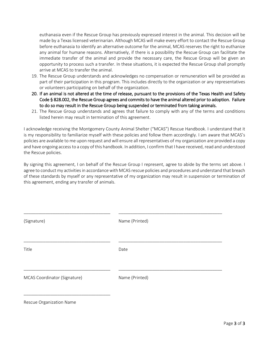euthanasia even if the Rescue Group has previously expressed interest in the animal. This decision will be made by a Texas licensed veterinarian. Although MCAS will make every effort to contact the Rescue Group before euthanasia to identify an alternative outcome for the animal, MCAS reserves the right to euthanize any animal for humane reasons. Alternatively, if there is a possibility the Rescue Group can facilitate the immediate transfer of the animal and provide the necessary care, the Rescue Group will be given an opportunity to process such a transfer. In these situations, it is expected the Rescue Group shall promptly arrive at MCAS to transfer the animal.

- 19. The Rescue Group understands and acknowledges no compensation or remuneration will be provided as part of their participation in this program. This includes directly to the organization or any representatives or volunteers participating on behalf of the organization.
- 20. If an animal is not altered at the time of release, pursuant to the provisions of the Texas Health and Safety Code § 828.002, the Rescue Group agrees and commits to have the animal altered prior to adoption. Failure to do so may result in the Rescue Group being suspended or terminated from taking animals.
- 21. The Rescue Group understands and agrees that failure to comply with any of the terms and conditions listed herein may result in termination of this agreement.

I acknowledge receiving the Montgomery County Animal Shelter ("MCAS") Rescue Handbook. I understand that it is my responsibility to familiarize myself with these policies and follow them accordingly. I am aware that MCAS's policies are available to me upon request and will ensure all representatives of my organization are provided a copy and have ongoing access to a copy of this handbook. In addition, I confirm that I have received, read and understood the Rescue policies.

By signing this agreement, I on behalf of the Rescue Group I represent, agree to abide by the terms set above. I agree to conduct my activities in accordance with MCAS rescue policies and procedures and understand that breach of these standards by myself or any representative of my organization may result in suspension or termination of this agreement, ending any transfer of animals.

| (Signature)                  | Name (Printed) |
|------------------------------|----------------|
| Title                        | Date           |
| MCAS Coordinator (Signature) | Name (Printed) |
| Rescue Organization Name     |                |